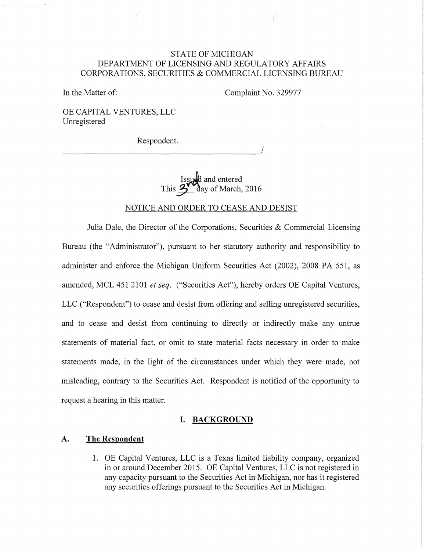# STATE OF MICHIGAN DEPARTMENT OF LICENSING AND REGULATORY AFFAIRS CORPORATIONS, SECURITIES & COMMERCIAL LICENSING BUREAU

In the Matter of:

Complaint No. 329977

OE CAPITAL VENTURES, LLC Unregistered

Respondent.

Issued and entered<br>This  $\sum_{\text{day of March}}$ day of March, 2016

#### NOTICE AND ORDER TO CEASE AND DESIST

Julia Dale, the Director of the Corporations, Securities  $\&$  Commercial Licensing Bureau (the "Administrator"), pursuant to her statutory authority and responsibility to administer and enforce the Michigan Uniform Securities Act (2002), 2008 PA 551, as amended, MCL 451.2101 *et seq.* ("Securities Act"), hereby orders OE Capital Ventures, LLC ("Respondent") to cease and desist from offering and selling unregistered securities, and to cease and desist from continuing to directly or indirectly make any untrue statements of material fact, or omit to state material facts necessary in order to make statements made, in the light of the circumstances under which they were made, not misleading, contrary to the Securities Act. Respondent is notified of the opportunity to request a hearing in this matter.

## **I. BACKGROUND**

## **A. The Respondent**

1. OE Capital Ventures, LLC is a Texas limited liability company, organized in or around December 2015. OE Capital Ventures, LLC is not registered in any capacity pursuant to the Securities Act in Michigan, nor has it registered any securities offerings pursuant to the Securities Act in Michigan.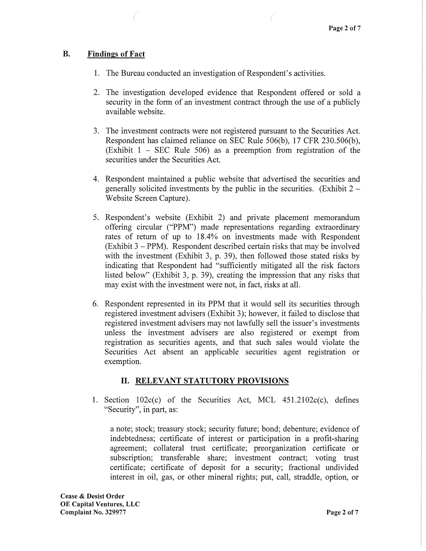## B. Findings of Fact

- 1. The Bureau conducted an investigation of Respondent's activities.
- 2. The investigation developed evidence that Respondent offered or sold a security in the form of an investment contract through the use of a publicly available website.
- 3. The investment contracts were not registered pursuant to the Securities Act. Respondent has claimed reliance on SEC Rule 506(b), 17 CFR 230.506(b), (Exhibit  $1 - \text{SEC}$  Rule 506) as a preemption from registration of the securities under the Securities Act.
- 4. Respondent maintained a public website that advertised the securities and generally solicited investments by the public in the securities. (Exhibit  $2 -$ Website Screen Capture).
- 5. Respondent's website (Exhibit 2) and private placement memorandum offering circular ("PPM") made representations regarding extraordinary rates of return of up to 18.4% on investments made with Respondent  $(Exhibit 3 - PPM)$ . Respondent described certain risks that may be involved with the investment (Exhibit 3, p. 39), then followed those stated risks by indicating that Respondent had "sufficiently mitigated all the risk factors listed below" (Exhibit 3, p. 39), creating the impression that any risks that may exist with the investment were not, in fact, risks at all.
- 6. Respondent represented in its PPM that it would sell its securities through registered investment advisers (Exhibit 3); however, it failed to disclose that registered investment advisers may not lawfully sell the issuer's investments unless the investment advisers are also registered or exempt from registration as securities agents, and that such sales would violate the Securities Act absent an applicable securities agent registration or exemption.

# II. RELEVANT STATUTORY PROVISIONS

1. Section  $102c(c)$  of the Securities Act, MCL  $451.2102c(c)$ , defines "Security", in part, as:

a note; stock; treasury stock; security future; bond; debenture; evidence of indebtedness; certificate of interest or participation in a profit-sharing agreement; collateral trust certificate; preorganization certificate or subscription; transferable share; investment contract; voting trust certificate; certificate of deposit for a security; fractional undivided interest in oil, gas, or other mineral rights; put, call, straddle, option, or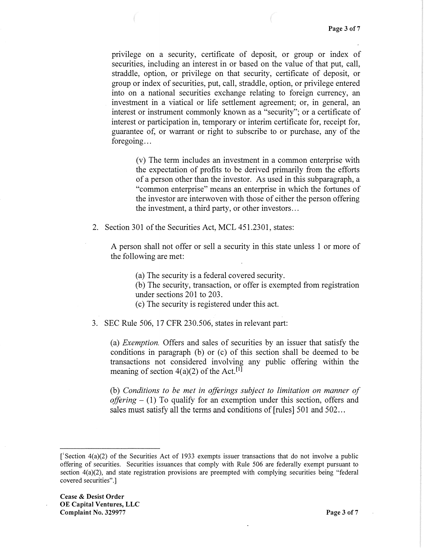privilege on a security, certificate of deposit, or group or index of securities, including an interest in or based on the value of that put, call, straddle, option, or privilege on that security, certificate of deposit, or group or index of securities, put, call, straddle, option, or privilege entered into on a national securities exchange relating to foreign currency, an investment in a viatical or life settlement agreement; or, in general, an interest or instrument commonly known as a "security"; or a certificate of interest or participation in, temporary or interim certificate for, receipt for, guarantee of, or warrant or right to subscribe to or purchase, any of the foregoing...

(v) The term includes an investment in a common enterprise with the expectation of profits to be derived primarily from the efforts of a person other than the investor. As used in this subparagraph, a "common enterprise" means an enterprise in which the fortunes of the investor are interwoven with those of either the person offering the investment, a third party, or other investors ...

2. Section 301 of the Securities Act, MCL 451.2301, states:

A person shall not offer or sell a security in this state unless 1 or more of the following are met:

(a) The security is a federal covered security.

(b) The security, transaction, or offer is exempted from registration under sections 201 to 203.

( c) The security is registered under this act.

3. SEC Rule 506, 17 CFR 230.506, states in relevant part:

(a) *Exemption.* Offers and sales of securities by an issuer that satisfy the conditions in paragraph (b) or  $(c)$  of this section shall be deemed to be transactions not considered involving any public offering within the meaning of section  $4(a)(2)$  of the Act.<sup>[1]</sup>

(b) *Conditions to be met in offerings subject to limitation on manner of offering* - (1) To qualify for an exemption under this section, offers and sales must satisfy all the terms and conditions of [rules] 501 and 502...

<sup>[</sup> 1 Section 4(a)(2) of the Securities Act of 1933 exempts issuer transactions that do not involve a public offering of securities. Securities issuances that comply with Rule 506 are federally exempt pursuant to section 4(a)(2), and state registration provisions are preempted with complying securities being "federal covered securities".]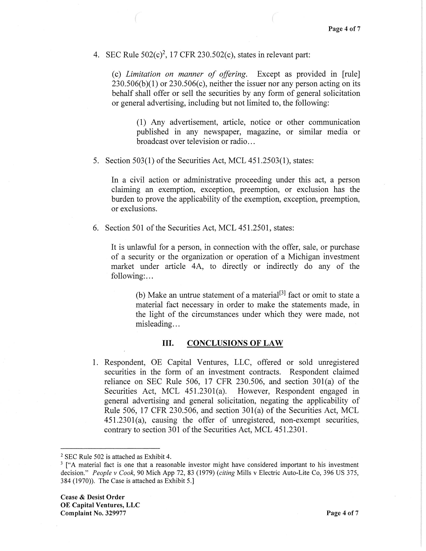4. SEC Rule  $502(c)^2$ , 17 CFR 230.502(c), states in relevant part:

(c) *Limitation on manner of offering.* Except as provided in [rule]  $230.506(b)(1)$  or  $230.506(c)$ , neither the issuer nor any person acting on its behalf shall offer or sell the securities by any form of general solicitation or general advertising, including but not limited to, the following:

(1) Any advertisement, article, notice or other communication published in any newspaper, magazine, or similar media or broadcast over television or radio...

5. Section 503(1) of the Securities Act, MCL 451.2503(1), states:

In a civil action or administrative proceeding under this act, a person claiming an exemption, exception, preemption, or exclusion has the burden to prove the applicability of the exemption, exception, preemption, or exclusions.

6. Section 501 of the Securities Act, MCL 451.2501, states:

It is unlawful for a person, in connection with the offer, sale, or purchase of a security or the organization or operation of a Michigan investment market under article 4A, to directly or indirectly do any of the following:...

(b) Make an untrue statement of a material<sup>[3]</sup> fact or omit to state a material fact necessary in order to make the statements made, in the light of the circumstances under which they were made, not misleading...

## III. CONCLUSIONS OF LAW

1. Respondent, OE Capital Ventures, LLC, offered or sold unregistered securities in the form of an investment contracts. Respondent claimed reliance on SEC Rule 506, 17 CFR 230.506, and section 30l(a) of the Securities Act, MCL 451.2301(a). However, Respondent engaged in general advertising and general solicitation, negating the applicability of Rule 506, 17 CFR 230.506, and section 301(a) of the Securities Act, MCL 451.2301(a), causing the offer of unregistered, non-exempt securities, contrary to section 301 of the Securities Act, MCL 451.2301.

<sup>2</sup> SEC Rule 502 is attached as Exhibit 4.

<sup>&</sup>lt;sup>3</sup> ["A material fact is one that a reasonable investor might have considered important to his investment decision." *People v Cook,* 90 Mich App 72, 83 (1979) *(citing* Mills v Electric Auto-Lite Co, 396 US 375, 384 (1970)). The Case is attached as Exhibit 5.)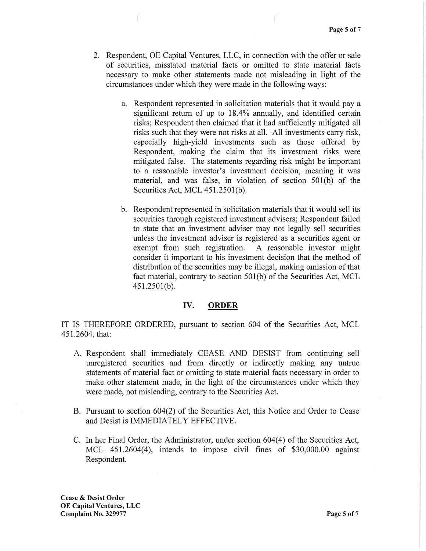- 2. Respondent, OE Capital Ventures, LLC, in connection with the offer or sale of securities, misstated material facts or omitted to state material facts necessary to make other statements made not misleading in light of the circumstances under which they were made in the following ways:
	- a. Respondent represented in solicitation materials that it would pay a significant return of up to 18.4% annually, and identified certain risks; Respondent then claimed that it had sufficiently mitigated all risks such that they were not risks at all. All investments carry risk, especially high-yield investments such as those offered by Respondent, making the claim that its investment risks were mitigated false. The statements regarding risk might be important to a reasonable investor's investment decision, meaning it was material, and was false, in violation of section 50l(b) of the Securities Act, MCL 451.2501(b).
	- b. Respondent represented in solicitation materials that it would sell its securities through registered investment advisers; Respondent failed to state that an investment adviser may not legally sell securities unless the investment adviser is registered as a securities agent or exempt from such registration. A reasonable investor might consider it important to his investment decision that the method of distribution of the securities may be illegal, making omission of that fact material, contrary to section 501(b) of the Securities Act, MCL 451.2501(b).

#### IV. **ORDER**

IT IS THEREFORE ORDERED, pursuant to section 604 of the Securities Act, MCL 451.2604, that:

- A. Respondent shall immediately CEASE AND DESIST from continuing sell unregistered securities and from directly or indirectly making any untrue statements of material fact or omitting to state material facts necessary in order to make other statement made, in the light of the circumstances under which they were made, not misleading, contrary to the Securities Act.
- B. Pursuant to section 604(2) of the Securities Act, this Notice and Order to Cease and Desist is IMMEDIATELY EFFECTIVE.
- C. In her Final Order, the Administrator, under section 604(4) of the Securities Act, MCL 451.2604(4), intends to impose civil fines of \$30,000.00 against Respondent.

Cease & Desist Order OE Capital Ventures, LLC **Complaint No. 329977** Page 5 of 7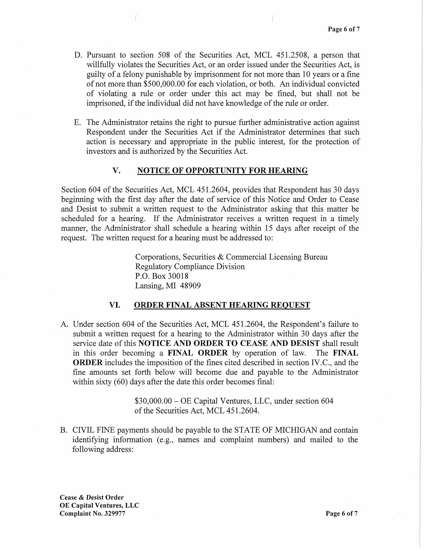- D. Pursuant to section 508 of the Securities Act, MCL 451.2508, a person that willfully violates the Securities Act, or an order issued under the Securities Act, is guilty of a felony punishable by imprisonment for not more than 10 years or a fine of not more than \$500,000.00 for each violation, or both. An individual convicted of violating a rule or order under this act may be fined, but shall not be imprisoned, if the individual did not have knowledge of the rule or order.
- E. The Administrator retains the right to pursue further administrative action against Respondent under the Securities Act if the Administrator determines that such action is necessary and appropriate in the public interest, for the protection of investors and is authorized by the Securities Act.

## V. NOTICE OF OPPORTUNITY FOR HEARING

Section 604 of the Securities Act, MCL 451.2604, provides that Respondent has 30 days beginning with the first day after the date of service of this Notice and Order to Cease and Desist to submit a written request to the Administrator asking that this matter be scheduled for a hearing. If the Administrator receives a written request in a timely manner, the Administrator shall schedule a hearing within 15 days after receipt of the request. The written request for a hearing must be addressed to:

> Corporations, Securities & Commercial Licensing Bureau Regulatory Compliance Division P.O. Box 30018 Lansing, MI 48909

## VI. ORDER FINAL ABSENT HEARING REQUEST

A. Under section 604 of the Securities Act, MCL 451.2604, the Respondent's failure to submit a written request for a hearing to the Administrator within 30 days after the service date of this NOTICE AND ORDER TO CEASE AND DESIST shall result in this order becoming a FINAL ORDER by operation of law. The FINAL ORDER includes the imposition of the fines cited described in section IV.C., and the fine amounts set forth below will become due and payable to the Administrator within sixty (60) days after the date this order becomes final:

> \$30,000.00 - OE Capital Ventures, LLC, under section 604 of the Securities Act, MCL 451.2604.

B. CIVIL FINE payments should be payable to the STATE OF MICHIGAN and contain identifying information (e.g., names and complaint numbers) and mailed to the following address:

Cease & Desist Order OE Capital Ventures, LLC **Complaint No. 329977** Page 6 of 7